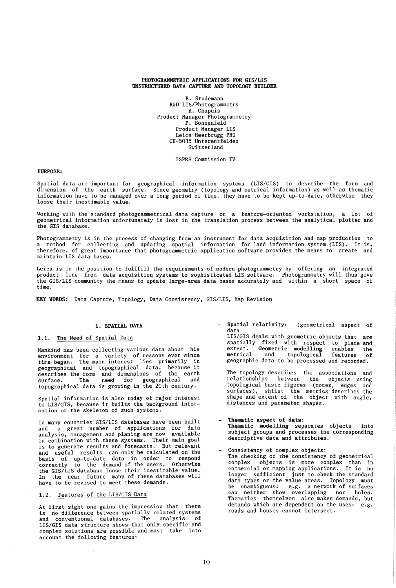#### PHOTOGRAMMETRIC APPLICATIONS FOR GIS/LIS UNSTRUCTURED DATA CAPTURE AND TOPOLOGY BUILDER

B. Studemann R&D LIS/Photogrammetry A. Chapuis Product Manager Photogrammetry P. Sonnenfeld Product Manager LIS Leica Heerbrugg PMU CH-5035 Unterentfelden Switzerland

ISPRS Commission IV

## PURPOSE:

Spatial data are important for geographical information systems (LIS/GIS) to describe the form and dimension of the earth surface. Since geometry (topology and metrical information) as well as thematic information have to be managed over a long period of time, they have to be kept up-to-date, otherwise they loose their inestimable value.

Working with the standard photogrammetrical data capture on a feature-oriented workstation, a lot of geometrical information unfortunately is lost in the translation process between the analytical plotter and the GIS database.

Photogrammetry is in the process of changing from an instrument for data acquisition and map production to a method for collecting and updating spatial information for land information system (LIS). It is, therefore, of great importance that photogrammetric application software provides the means to create and maintain LIS data bases.

Leica is in the position to fullfill the requirements of modern photogrammetry by offering an integrated<br>product line from data acquisition systems to sophisticated LIS software. Photogrammetry will thus give line from data acquisition systems to sophisticated LIS software. Photogrammetry will thus give the GIS/LIS community the means to update large-area data bases accurately and within a short space of time.

KEY YORDS: Data Capture, Topology, Data Consistency, GIS/LIS, Map Revision

### 1. SPATIAL DATA

# 1.1. The Need of Spatial Data

Mankind has been collecting various data about his environment for a variety of reasons ever since time began. The main interest lies primarily in geographical and topographical data, because it describes the form and dimensions of the earth surface. The need for geographical and topographical data is growing in the 20th century.

Spatial information is also today of major interest to LIS/GIS, because it builts the background infor-mation or the skeleton of such systems.

In many countries GIS/LIS databases have been built and a great number of applications for data analysis, management and planing are now available in combination with these systems. Their main goal is to generate results and forecasts. But relevant and useful results can only be calculated on the basis of up-to-date data in order to respond correctly to the demand of the users. Otherwise the GIS/LIS database loose their inestimable value. In the near future many of these databases will have to be revised to meet these demands.

# 1.2. Features of the LIS/GIS Data

At first sight one gains the impression that there is no difference between spatially related systems and conventional databases. The analysis of LIS/GIS data structure shows that only specific and complex solutions are possible and must take into account the following features:

Spatial relativity: (geometrical aspect of data<br>LIS/GIS deals with geometric objects that are

spatially fixed with respect to place and<br>extent. Geometric modelling enables the extent. Geometric modelling enables<br>metrical and topological features and topological features of geographic data to be processed and recorded.

The topology describes the associations and relationships between the objects using topological basic figures (nodes, edges and surfaces), whilst the metrics describes the shape and extent of the object with angle, distances and parameter shapes.

- Thematic aspect of data: Thematic modelling separates objects into subject groups and processes the corresponding descriptive data and attributes.
- Consistency of complex objects: The checking of the consistency of geometrical complex objects is more complex than in<br>commercial or mapping applications. It is no commercial or mapping applications. It is no longer sufficient just to check the standard data types or the value areas. Topology must be unambiguous: e.g. a network of surfaces can neither show overlapping nor holes. Thematics themselves also makes demands, but demands which are dependent on the uses: e.g. roads and houses cannot intersect.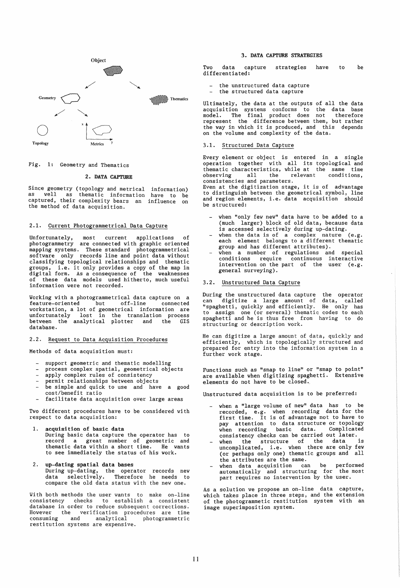

# Fig. 1: Geometry and Thematics

#### 2. DATA CAPTURE

Since geometry (topology and metrical information) as well as thematic information have to be captured, their complexity bears an influence on<br>the method of data acquisition.

### 2.1. Current Photogrammetrical Data Capture

Unfortunately, most current applications of photogrammetry are connected with graphic oriented mapping systems. These standard photogrammetrical software only records line and point data without classifying topological relationships and thematic groups, i.e. it only provides a copy of the map in digital form. As a consequence of the weaknesses of these data models used hitherto, much useful information were not recorded.

Vorking with a photogrammetrical data capture on a feature-oriented but off-line connected workstation, a lot of geometrical information are unfortunately lost in the translation process between the analytical plotter and the GIS database.

#### 2.2. Request to Data Acquisition Procedures

Methods of data acquisition must:

- support geometric and thematic modelling
- process complex spatial, geometrical objects
- apply complex rules of consistency
- permit relationships between objects
- be simple and quick to use and have a good cost/benefit ratio
- facilitate data acquisition over large areas

Two different procedures have to be considered with respect to data acquisition:

- 1. acquisition of basic data During basic data capture the operator has to record a great number of geometric and thematic data within a short time. He wants to see immediately the status of his work.
- up-dating spatial data bases During up-dating, the operator records new data selectively. Therefore he needs to compare the old data status with the new one.

With both methods the user wants to make on-line consistency checks to establish a consistent database in order to reduce subsequent corrections. However the verification procedures are time consuming and analytical photogrammetric restitution systems are expensive.

#### 3. DATA CAPTURE STRATEGIES

Two data capture differentiated: strategies have to be

- the unstructured data capture
- $\mathbf{r}$ the structured data capture

Ultimately, the data at the outputs of all the data acquisition systems conforms to the data base model. The final product does not therefore represent the difference between them, but rather the way in which it is produced, and this depends on the volume and complexity of the data.

## 3.1. Structured Data Capture

Every element or object is entered in a single operation together with all its topological and thematic characteristics, while at the same time observing all the relevant conditions, observing all the relevant<br>consistencies and parameters.

Even at the digitization stage, it is of advantage to distinguish between the geometrical symbol, line and region elements, i.e. data acquisition should be structured:

- when "only few new" data have to be added to a (much larger) block of old data, because data is accessed selectively during up-dating.
- when the data is of a complex nature (e.g. each element belongs to a different thematic group and has different attributes).
- when a number of regulations and special conditions require continuous interactive intervention on the part of the user (e.g. general surveying).

## 3.2. Unstructured Data Capture

During the unstructured data capture the operator can digitize a large amount of data, called "spaghetti, quickly and efficiently. He only has to assign one (or several) thematic codes to each spaghetti and he is thus free from having to do structuring or description work.

He can digitize a large amount of data, quickly and efficiently, which is topologically structured and prepared for entry into the information system in a further work stage.

Functions such as "snap to line" or "snap to point" are available when digitizing spaghetti. Extensive elements do not have to be closed.

Unstructured data acquisition is to be preferred:

- when a "large volume of new" data has to be recorded, e.g. when recording data for the first time. It is of advantage not to have to pay attention to data structure or topology<br>when recording basic data. Complicated when recording basic data. consistency checks can be carried out later.
- when the structure of the data is uncomplicated, i.e. when there are only few (or perhaps only one) thematic groups and all the attributes are the same. when data acquisition can be performed
- automatically and structuring for the most part requires no intervention by the user.

As a solution we propose an on-line data capture, which takes place in three steps, and the extension of the photogrammetic restitution system with an image superimposition system.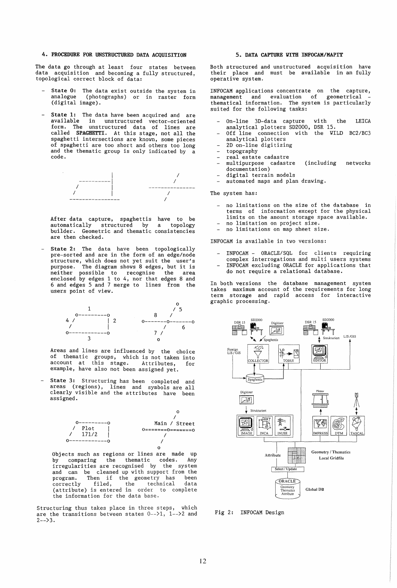# 4. PROCEDURE FOR UNSTRUCTURED DATA ACQUISITION

The data go through at least four states between data acquisition and becoming a fully structured, topological correct block of data:

- State 0: The data exist outside the system in<br>analogue (photographs) or in raster form (photographs) or in raster form (digital image).
- State 1: The data have been acquired and are available in unstructured vector-oriented form. The unstructured data of lines are called SPAGHETTI. At this stage, not all the spaghetti intersections are known, some pieces of spaghetti are too short and others too long and the thematic group is only indicated by a code.



After data capture, spaghettis have to be automatically structured by a topology builder. Geometric and thematic consistencies are then checked.

State 2: The data have been topologically pre-sorted and are in the form of an edge/node structure, which does not yet suit the user's purpose. The diagram shows 8 edges, but it is neither possible to recognise the area enclosed by edges 1 to 4, nor that edges 8 and 6 and edges 5 and 7 merge to lines from the users point of view.



Areas and lines are influenced by the choice of thematic groups, which is not taken into account at this stage. Attributes, for example, have also not been assigned yet.

State 3: Structuring has been completed and areas (regions), lines and symbols are all clearly visible and the attributes have been assigned.



Objects such as regions or lines are made up by comparing the thematic codes. Any irregularities are recognised by the system and can be cleaned up with support from the program. Then if the geometry has been correctly filed, the technical data program. Then it the second of the technical data<br>(attribute) is entered in order to complete the information for the data base.

Structuring thus takes place in three steps, which are the transitions between states  $0--21$ ,  $1--22$  and  $2 - 3.$ 

### 5. DATA CAPTURE WITH INFOCAM/MAPIT

Both structured and unstructured acquisition have their place and must be available in an fully operative system.

INFOCAM applications concentrate on the capture, management and evaluation of geometrical thematical information. The system is particularly suited for the following tasks:

- On-line 3D-data capture with the LEICA analytical plotters SD2000, DSR 15.
- Off line connection with the WILD BC2/BC3 analytical plotters
- 2D on-line digitizing
- topography
- real estate cadastre
- mUltipurpose cadastre (including networks documentation)
- digital terrain models
- automated maps and plan drawing.

The system has:

- no limitations on the size of the database in terms of information except for the physical limits on the amount storage space available. no limitation on project size. no limitations on map sheet size.
- 
- 

INFOCAM is available in two versions:

- INFOCAM ORACLE/SQL for clients requiring
- complex interrogations and multi users systems
- INFOCAM excluding ORACLE for applications that do not require a relational database.

In both versions the database management system takes maximum account of the requirements for long term storage and rapid access for interactive graphic processing.



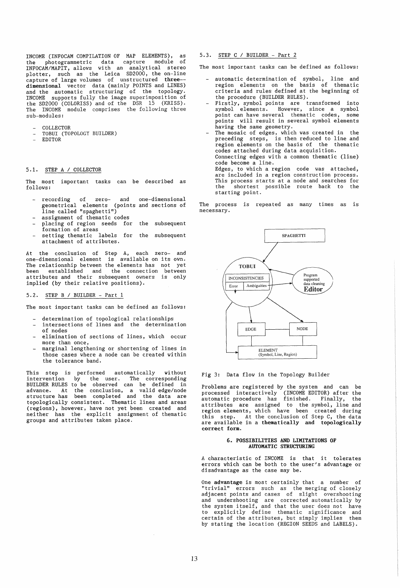INCOME (INFOCAM COMPILATION OF MAP ELEMENTS), as the photogrammetric data capture module of INFOCAM/MAPIT, allows with an analytical stereo plotter, such as the Leica SD2000, the on-line capture of large volumes of unstructured three-dimensional vector data (mainly POINTS and LINES) and the automatic structuring of the topology. INCOME supports fully the image superimposition of the SD2000 (COLORISS) and of the DSR 15 (KRISS). The INCOME module comprises the following three sub-modules:

- COLLECTOR
- TOBUI (TOPOLOGY BUILDER)  $\overline{a}$
- EDITOR L.

### 5.1. STEP A / COLLECTOR

The most important tasks can be described as follows:

- recording of zero- and one-dimensional geometrical elements (points and sections of line called "spaghetti")
- assignment of thematic codes
- placing of region seeds for the subsequent<br>formation of areas  $\overline{a}$
- setting thematic labels for the subsequent attachment of attributes.

At the conclusion of Step A, each zero- and one-dimensional element IS available on its own. The relationship between the elements has not yet The relationship between the elements has not yet<br>been established and the connection between attributes and their subsequent owners is only implied (by their relative positions).

## 5.2. STEP B / BUILDER - Part 1

The most important tasks can be defined as follows:

- determination of topological relationships
- intersections of lines and the determination of nodes
- elimination of sections of lines, which occur more than once,
- marginal lengthening or shortening of lines in those cases where a node can be created within the tolerance band.

This step is performed automatically without intervention by the user. The corresponding BUILDER RULES to be observed can be defined in advance. At the conclusion, a valid edge/node structure has been completed and the data are topologically consistent. Thematic lines and areas (regions), however, have not yet been created and (regions), however, have not yet been created and<br>neither has the explicit assignment of thematic groups and attributes taken place.

5.3. STEP C / BUILDER - Part 2

The most important tasks can be defined as follows:

- automatic determination of symbol, line and region elements on the basis of thematic criteria and rules defined at the beginning of the procedure (BUILDER RULES).
- Firstly, symbol points are transformed into symbol elements. However, since a symbol point can have several thematic codes, some points will result in several symbol elements having the same geometry.
- The mosaic of edges, which was created in the preceding steps, is then reduced to line and region elements on the basis of the thematic codes attached during data acquisition. Connecting edges with a common thematic (line) code become a line. Edges, to which a region code was attached,<br>are included in a region construction process. This process starts at a the shortest possible node and searches for starting point. are included in a region construction process. shortest possible route back to the

The process is repeated as many times as is necessary.



### Fig 3: Data flow in the Topology Builder

Problems are registered by the system and can be processed interactively (INCOME EDITOR) after the automatic procedure has finished. Finally, the attributes are assigned to the symbol, line and region elements, which have been created during are available in a thematically and topologically correct form.

#### 6. POSSIBILITIES AND LIMITATIONS OF AUTOMATIC STRUCTURING

A characteristic of INCOME is that it tolerates errors which can be both to the user's advantage or disadvantage as the case may be.

One advantage is most certainly that a number of "trivial" errors such as the merging of closely adjacent points and cases of slight overshooting and undershooting are corrected automatically by the system itself, and that the user does not have to explicitly define thematic significance and certain of the attributes, but simply implies them by stating the location (REGION SEEDS and LABELS).